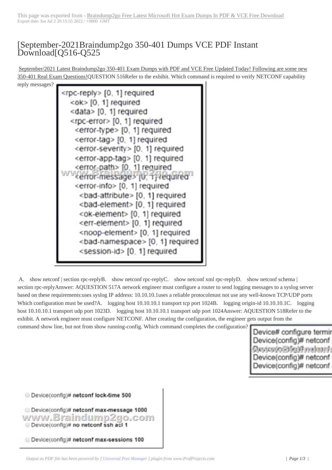## [September-2021B[raindump2go 350-401 Dumps VCE PDF Instant](https://www.symantecdumps.com/?p=11971) Download[Q516-Q525

September/2021 Latest Braindump2go 350-401 Exam Dumps with PDF and VCE Free Updated Today! Following are some new 350-401 Real Exam Questions!QUESTION 516Refer to the exhibit. Which command is required to verify NETCONF capability

reply messages?



A. show netconf | section rpc-replyB. show netconf rpc-replyC. show netconf xml rpc-replyD. show netconf schema | section rpc-replyAnswer: AQUESTION 517A network engineer must configure a router to send logging messages to a syslog server based on these requirements:uses syslog IP address: 10.10.10.1uses a reliable protocolmust not use any well-known TCP/UDP ports Which configuration must be used?A. logging host 10.10.10.1 transport tcp port 1024B. logging origin-id 10.10.10.1C. logging host 10.10.10.1 transport udp port 1023D. logging host 10.10.10.1 transport udp port 1024Answer: AQUESTION 518Refer to the exhibit. A network engineer must configure NETCONF. After creating the configuration, the engineer gets output from the command show line, but not from show running-config. Which command completes the configuration?

Device# configure terminal Device(config)# netconf sst *RAWWEBTEN DOUTHOS* Device(config)# netconf ma Device(config)# netconf ma

Device(config)# netconf lock-time 500 Device(config)# netconf max-message 1000 www.Braindump2go.com Device(config)# no netconf ssh acl 1 Device(config)# netconf max-sessions 100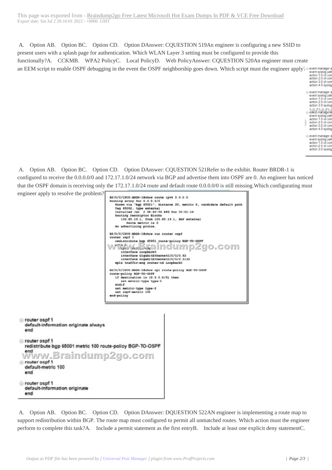A. Option AB. Option BC[. Option CD. Option DAnswer: CQUESTION 519An engineer is configuring a new S](https://www.symantecdumps.com/?p=11971)SID to present users with a splash page for authentication. Which WLAN Layer 3 setting must be configured to provide this functionally?A. CCKMB. WPA2 PolicyC. Local PolicyD. Web PolicyAnswer: CQUESTION 520An engineer must create an EEM script to enable OSPF debugging in the event the OSPF neighborship goes down. Which script must the engineer apply?

event systop pattern "%<br>action 1.0 cli command<br>action 2.0 cli command action 3.0 cli command action 4.0 syslog priority event manager applet E

event syslog pattern "%<br>action 1.0 cli command<br>action 2.0 cli command action 3.0 syslog priority clerk mith ge-6-plan event syslog pattern "%<br>action 1.0 cli command<br>action 2.0 cli command action 3.0 cli command action 4.0 syslog priority event manager applet E

event syslog pattern "%<br>action 1.0 cli command<br>action 2.0 cli command action 3.0 syslog priority

 A. Option AB. Option BC. Option CD. Option DAnswer: CQUESTION 521Refer to the exhibit. Router BRDR-1 is configured to receive the 0.0.0.0/0 and 172.17.1.0/24 network via BGP and advertise them into OSPF are 0. An engineer has noticed that the OSPF domain is receiving only the 172.17.1.0/24 route and default route 0.0.0.0/0 is still missing.Which configurating must engineer apply to resolve the problem?





 A. Option AB. Option BC. Option CD. Option DAnswer: DQUESTION 522AN engineer is implementing a route map to support redistribution within BGP. The route map must configured to permit all unmatched routes. Which action must the engineer perform to complete this task?A. Include a permit statement as the first entryB. Include at least one explicit deny statementC.